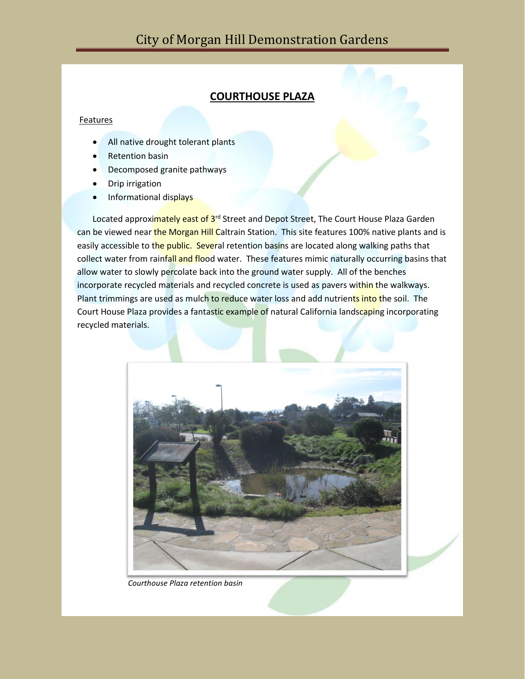## **COURTHOUSE PLAZA**

## Features

- All native drought tolerant plants
- **Retention basin**
- Decomposed granite pathways
- Drip irrigation
- Informational displays

Located approximately east of 3<sup>rd</sup> Street and Depot Street, The Court House Plaza Garden can be viewed near the Morgan Hill Caltrain Station. This site features 100% native plants and is easily accessible to the public. Several retention basins are located along walking paths that collect water from rainfall and flood water. These features mimic naturally occurring basins that allow water to slowly percolate back into the ground water supply. All of the benches incorporate recycled materials and recycled concrete is used as pavers within the walkways. Plant trimmings are used as mulch to reduce water loss and add nutrients into the soil. The Court House Plaza provides a fantastic example of natural California landscaping incorporating recycled materials.



*Courthouse Plaza retention basin*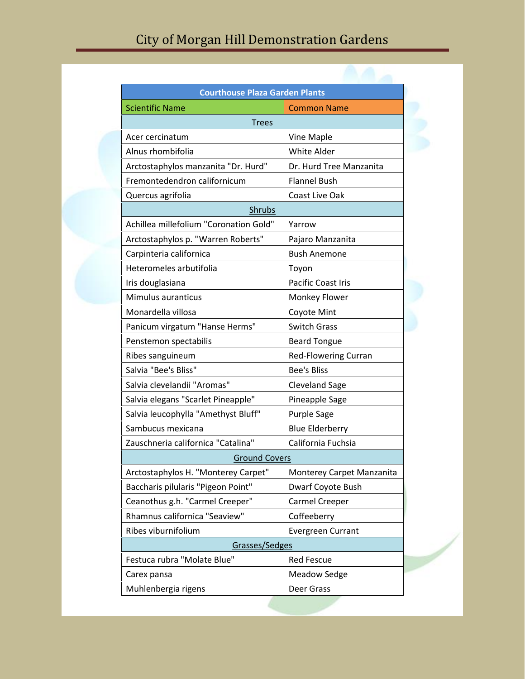| <b>Courthouse Plaza Garden Plants</b>  |                             |
|----------------------------------------|-----------------------------|
| <b>Scientific Name</b>                 | <b>Common Name</b>          |
| <u>Trees</u>                           |                             |
| Acer cercinatum                        | Vine Maple                  |
| Alnus rhombifolia                      | White Alder                 |
| Arctostaphylos manzanita "Dr. Hurd"    | Dr. Hurd Tree Manzanita     |
| Fremontedendron californicum           | <b>Flannel Bush</b>         |
| Quercus agrifolia                      | Coast Live Oak              |
| <b>Shrubs</b>                          |                             |
| Achillea millefolium "Coronation Gold" | Yarrow                      |
| Arctostaphylos p. "Warren Roberts"     | Pajaro Manzanita            |
| Carpinteria californica                | <b>Bush Anemone</b>         |
| Heteromeles arbutifolia                | Toyon                       |
| Iris douglasiana                       | <b>Pacific Coast Iris</b>   |
| Mimulus auranticus                     | Monkey Flower               |
| Monardella villosa                     | Coyote Mint                 |
| Panicum virgatum "Hanse Herms"         | <b>Switch Grass</b>         |
| Penstemon spectabilis                  | <b>Beard Tongue</b>         |
| Ribes sanguineum                       | <b>Red-Flowering Curran</b> |
| Salvia "Bee's Bliss"                   | <b>Bee's Bliss</b>          |
| Salvia clevelandii "Aromas"            | <b>Cleveland Sage</b>       |
| Salvia elegans "Scarlet Pineapple"     | Pineapple Sage              |
| Salvia leucophylla "Amethyst Bluff"    | <b>Purple Sage</b>          |
| Sambucus mexicana                      | <b>Blue Elderberry</b>      |
| Zauschneria californica "Catalina"     | California Fuchsia          |
| <b>Ground Covers</b>                   |                             |
| Arctostaphylos H. "Monterey Carpet"    | Monterey Carpet Manzanita   |
| Baccharis pilularis "Pigeon Point"     | Dwarf Coyote Bush           |
| Ceanothus g.h. "Carmel Creeper"        | Carmel Creeper              |
| Rhamnus californica "Seaview"          | Coffeeberry                 |
| Ribes viburnifolium                    | Evergreen Currant           |
| Grasses/Sedges                         |                             |
| Festuca rubra "Molate Blue"            | <b>Red Fescue</b>           |
| Carex pansa                            | <b>Meadow Sedge</b>         |
| Muhlenbergia rigens                    | Deer Grass                  |